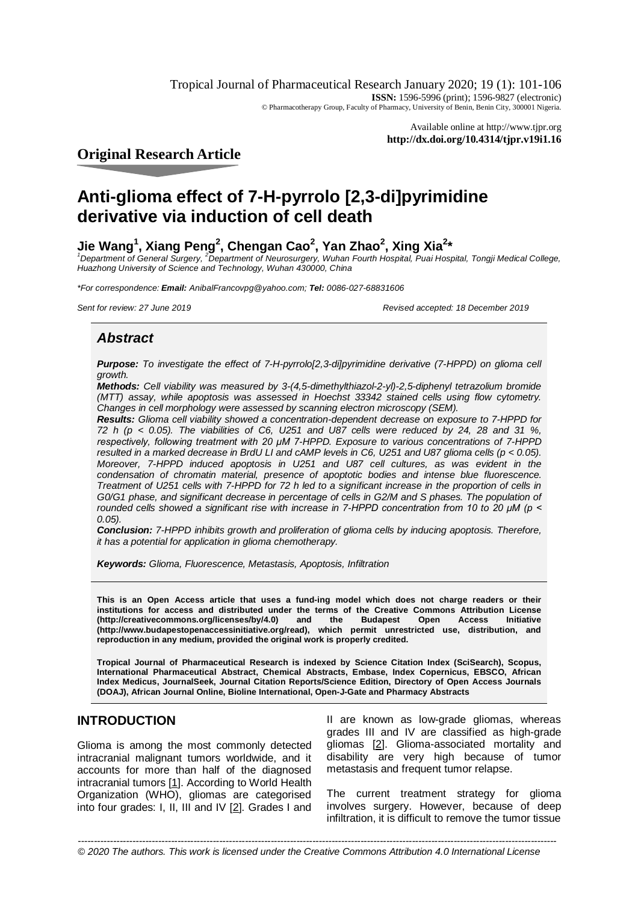Tropical Journal of Pharmaceutical Research January 2020; 19 (1): 101-106 **ISSN:** 1596-5996 (print); 1596-9827 (electronic) © Pharmacotherapy Group, Faculty of Pharmacy, University of Benin, Benin City, 300001 Nigeria.

> Available online at <http://www.tjpr.org> **<http://dx.doi.org/10.4314/tjpr.v19i1.16>**

**Original Research Article**

# **Anti-glioma effect of 7-H-pyrrolo [2,3-di]pyrimidine derivative via induction of cell death**

# **Jie Wang<sup>1</sup> , Xiang Peng<sup>2</sup> , Chengan Cao<sup>2</sup> , Yan Zhao<sup>2</sup> , Xing Xia<sup>2</sup> \***

<sup>1</sup> Department of General Surgery, <sup>2</sup> Department of Neurosurgery, Wuhan Fourth Hospital, Puai Hospital, Tongji Medical College, *Huazhong University of Science and Technology, Wuhan 430000, China*

*\*For correspondence: Email: [AnibalFrancovpg@yahoo.com;](mailto:AnibalFrancovpg@yahoo.com;) Tel: 0086-027-68831606*

*Sent for review: 27 June 2019 Revised accepted: 18 December 2019*

# *Abstract*

*Purpose: To investigate the effect of 7-H-pyrrolo[2,3-di]pyrimidine derivative (7-HPPD) on glioma cell growth.*

*Methods: Cell viability was measured by 3-(4,5-dimethylthiazol-2-yl)-2,5-diphenyl tetrazolium bromide (MTT) assay, while apoptosis was assessed in Hoechst 33342 stained cells using flow cytometry. Changes in cell morphology were assessed by scanning electron microscopy (SEM).* 

*Results: Glioma cell viability showed a concentration-dependent decrease on exposure to 7-HPPD for 72 h (p < 0.05). The viabilities of C6, U251 and U87 cells were reduced by 24, 28 and 31 %, respectively, following treatment with 20 μM 7-HPPD. Exposure to various concentrations of 7-HPPD resulted in a marked decrease in BrdU LI and cAMP levels in C6, U251 and U87 glioma cells (p < 0.05). Moreover, 7-HPPD induced apoptosis in U251 and U87 cell cultures, as was evident in the condensation of chromatin material, presence of apoptotic bodies and intense blue fluorescence. Treatment of U251 cells with 7-HPPD for 72 h led to a significant increase in the proportion of cells in G0/G1 phase, and significant decrease in percentage of cells in G2/M and S phases. The population of rounded cells showed a significant rise with increase in 7-HPPD concentration from 10 to 20 μM (p < 0.05).* 

*Conclusion: 7-HPPD inhibits growth and proliferation of glioma cells by inducing apoptosis. Therefore, it has a potential for application in glioma chemotherapy.*

*Keywords: Glioma, Fluorescence, Metastasis, Apoptosis, Infiltration*

**This is an Open Access article that uses a fund-ing model which does not charge readers or their institutions for access and distributed under the terms of the Creative Commons Attribution License [\(http://creativecommons.org/licenses/by/4.0\)](http://creativecommons.org/licenses/by/4.0)) and the Budapest Open Access Initiative [\(http://www.budapestopenaccessinitiative.org/read\),](http://www.budapestopenaccessinitiative.org/read),) which permit unrestricted use, distribution, and reproduction in any medium, provided the original work is properly credited.**

**Tropical Journal of Pharmaceutical Research is indexed by Science Citation Index (SciSearch), Scopus, International Pharmaceutical Abstract, Chemical Abstracts, Embase, Index Copernicus, EBSCO, African Index Medicus, JournalSeek, Journal Citation Reports/Science Edition, Directory of Open Access Journals (DOAJ), African Journal Online, Bioline International, Open-J-Gate and Pharmacy Abstracts**

# **INTRODUCTION**

Glioma is among the most commonly detected intracranial malignant tumors worldwide, and it accounts for more than half of the diagnosed intracranial tumors [1]. According to World Health Organization (WHO), gliomas are categorised into four grades: I, II, III and IV [2]. Grades I and

II are known as low-grade gliomas, whereas grades III and IV are classified as high-grade gliomas [2]. Glioma-associated mortality and disability are very high because of tumor metastasis and frequent tumor relapse.

The current treatment strategy for glioma involves surgery. However, because of deep infiltration, it is difficult to remove the tumor tissue

*Trop J Pharm Res, January 2020; 19(1):* 101 *© 2020 The authors. This work is licensed under the Creative Commons Attribution 4.0 International License-----------------------------------------------------------------------------------------------------------------------------------------------------*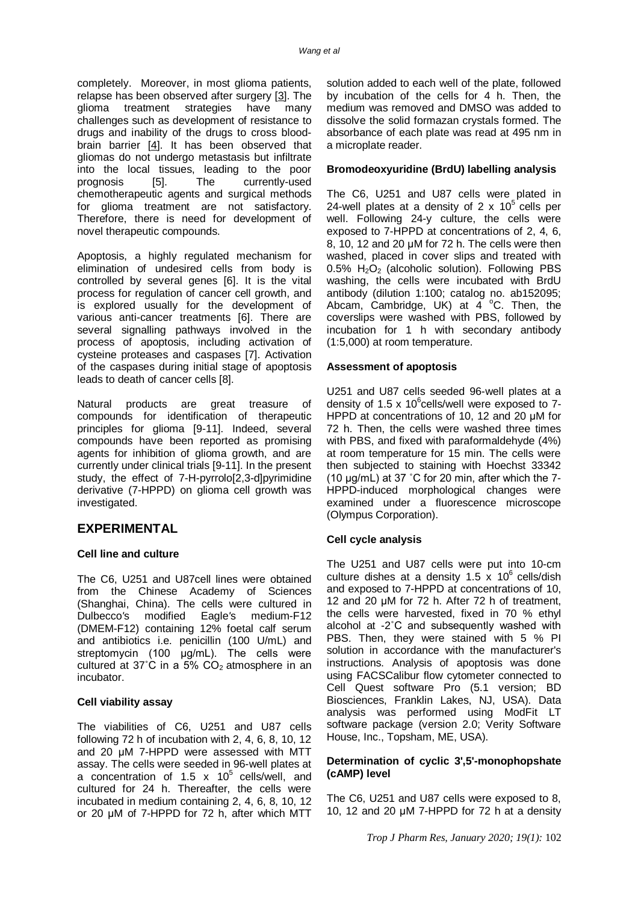completely. Moreover, in most glioma patients, relapse has been observed after surgery [3]. The glioma treatment strategies have many challenges such as development of resistance to drugs and inability of the drugs to cross bloodbrain barrier  $[4]$ . It has been observed that gliomas do not undergo metastasis but infiltrate into the local tissues, leading to the poor<br>prognosis [5]. The currently-used prognosis [5]. The currently-used chemotherapeutic agents and surgical methods for glioma treatment are not satisfactory. Therefore, there is need for development of novel therapeutic compounds.

Apoptosis, a highly regulated mechanism for elimination of undesired cells from body is controlled by several genes [6]. It is the vital process for regulation of cancer cell growth, and is explored usually for the development of various anti-cancer treatments [6]. There are several signalling pathways involved in the process of apoptosis, including activation of cysteine proteases and caspases [7]. Activation of the caspases during initial stage of apoptosis leads to death of cancer cells [8].

Natural products are great treasure of compounds for identification of therapeutic principles for glioma [9-11]. Indeed, several compounds have been reported as promising agents for inhibition of glioma growth, and are currently under clinical trials [9-11]. In the present study, the effect of 7-H-pyrrolo[2,3-d]pyrimidine derivative (7-HPPD) on glioma cell growth was investigated.

### **EXPERIMENTAL**

#### **Cell line and culture**

The C6, U251 and U87cell lines were obtained from the Chinese Academy of Sciences (Shanghai, China). The cells were cultured in Dulbecco*'*s modified Eagle*'*s medium-F12 (DMEM-F12) containing 12% foetal calf serum and antibiotics i.e. penicillin (100 U/mL) and streptomycin (100 μg/mL). The cells were cultured at  $37^{\circ}$ C in a  $5\%$  CO<sub>2</sub> atmosphere in an incubator.

#### **Cell viability assay**

The viabilities of C6, U251 and U87 cells following 72 h of incubation with 2, 4, 6, 8, 10, 12 and 20 μM 7-HPPD were assessed with MTT assay. The cells were seeded in 96-well plates at a concentration of 1.5  $\times$  10<sup>5</sup> cells/well, and cultured for 24 h. Thereafter, the cells were incubated in medium containing 2, 4, 6, 8, 10, 12 or 20 μM of 7-HPPD for 72 h, after which MTT

solution added to each well of the plate, followed by incubation of the cells for 4 h. Then, the medium was removed and DMSO was added to dissolve the solid formazan crystals formed. The absorbance of each plate was read at 495 nm in a microplate reader.

#### **Bromodeoxyuridine (BrdU) labelling analysis**

The C6, U251 and U87 cells were plated in 24-well plates at a density of 2  $\times$  10<sup>5</sup> cells per well. Following 24-y culture, the cells were exposed to 7-HPPD at concentrations of 2, 4, 6, 8, 10, 12 and 20 µM for 72 h. The cells were then washed, placed in cover slips and treated with  $0.5\%$  H<sub>2</sub>O<sub>2</sub> (alcoholic solution). Following PBS washing, the cells were incubated with BrdU antibody (dilution 1:100; catalog no. ab152095; Abcam, Cambridge, UK) at  $4^{\circ}$ C. Then, the coverslips were washed with PBS, followed by incubation for 1 h with secondary antibody (1:5,000) at room temperature.

#### **Assessment of apoptosis**

U251 and U87 cells seeded 96-well plates at a density of 1.5 x 10 $^{6}$ cells/well were exposed to 7-HPPD at concentrations of 10, 12 and 20 μM for 72 h. Then, the cells were washed three times with PBS, and fixed with paraformaldehyde (4%) at room temperature for 15 min. The cells were then subjected to staining with Hoechst 33342 (10 μg/mL) at 37 ˚C for 20 min, after which the 7- HPPD-induced morphological changes were examined under a fluorescence microscope (Olympus Corporation).

#### **Cell cycle analysis**

The U251 and U87 cells were put into 10-cm culture dishes at a density 1.5 x 10 $^6$  cells/dish and exposed to 7-HPPD at concentrations of 10, 12 and 20 μM for 72 h. After 72 h of treatment, the cells were harvested, fixed in 70 % ethyl alcohol at -2˚C and subsequently washed with PBS. Then, they were stained with 5 % PI solution in accordance with the manufacturer's instructions. Analysis of apoptosis was done using FACSCalibur flow cytometer connected to Cell Quest software Pro (5.1 version; BD Biosciences, Franklin Lakes, NJ, USA). Data analysis was performed using ModFit LT software package (version 2.0; Verity Software House, Inc., Topsham, ME, USA).

#### **Determination of cyclic 3',5'-monophopshate (cAMP) level**

The C6, U251 and U87 cells were exposed to 8, 10, 12 and 20 μM 7-HPPD for 72 h at a density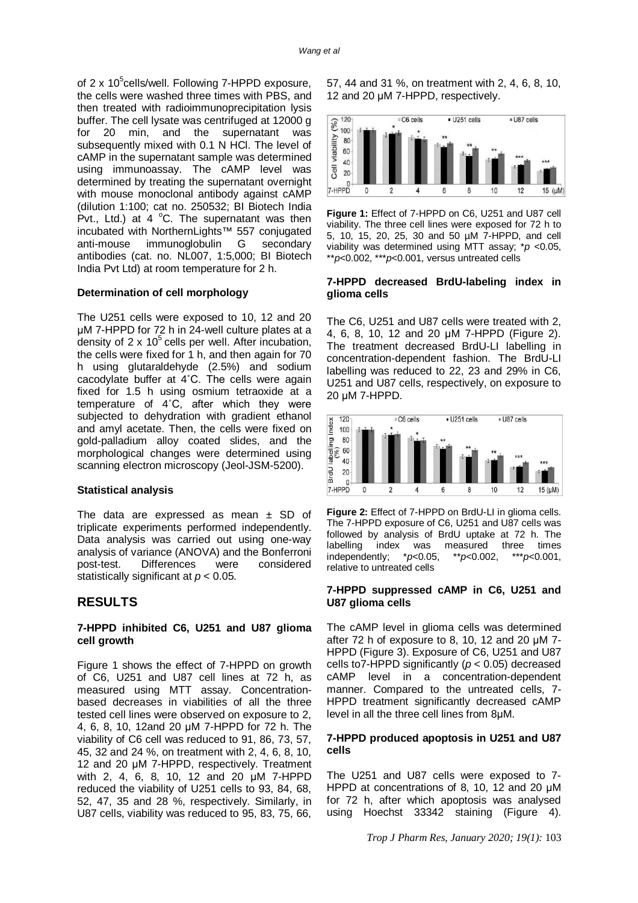of 2 x 10<sup>5</sup>cells/well. Following 7-HPPD exposure, the cells were washed three times with PBS, and then treated with radioimmunoprecipitation lysis buffer. The cell lysate was centrifuged at 12000 g for 20 min, and the supernatant was subsequently mixed with 0.1 N HCl. The level of cAMP in the supernatant sample was determined using immunoassay. The cAMP level was determined by treating the supernatant overnight with mouse monoclonal antibody against cAMP (dilution 1:100; cat no. 250532; BI Biotech India Pvt., Ltd.) at 4  $^{\circ}$ C. The supernatant was then incubated with NorthernLights™ 557 conjugated anti-mouse immunoglobulin G secondary antibodies (cat. no. NL007, 1:5,000; BI Biotech India Pvt Ltd) at room temperature for 2 h.

#### **Determination of cell morphology**

The U251 cells were exposed to 10, 12 and 20 μM 7-HPPD for 72 h in 24-well culture plates at a density of  $2 \times 10^5$  cells per well. After incubation, the cells were fixed for 1 h, and then again for 70 h using glutaraldehyde (2.5%) and sodium cacodylate buffer at 4˚C. The cells were again fixed for 1.5 h using osmium tetraoxide at a temperature of 4˚C, after which they were subjected to dehydration with gradient ethanol and amyl acetate. Then, the cells were fixed on gold-palladium alloy coated slides, and the morphological changes were determined using scanning electron microscopy (Jeol-JSM-5200).

#### **Statistical analysis**

The data are expressed as mean  $\pm$  SD of triplicate experiments performed independently. Data analysis was carried out using one-way analysis of variance (ANOVA) and the Bonferroni post-test. Differences were considered statistically significant at *p* < 0.05.

### **RESULTS**

#### **7-HPPD inhibited C6, U251 and U87 glioma cell growth**

Figure 1 shows the effect of 7-HPPD on growth of C6, U251 and U87 cell lines at 72 h, as measured using MTT assay. Concentrationbased decreases in viabilities of all the three tested cell lines were observed on exposure to 2, 4, 6, 8, 10, 12and 20 μM 7-HPPD for 72 h. The viability of C6 cell was reduced to 91, 86, 73, 57, 45, 32 and 24 %, on treatment with 2, 4, 6, 8, 10, 12 and 20 μM 7-HPPD, respectively. Treatment with 2, 4, 6, 8, 10, 12 and 20 μM 7-HPPD reduced the viability of U251 cells to 93, 84, 68, 52, 47, 35 and 28 %, respectively. Similarly, in U87 cells, viability was reduced to 95, 83, 75, 66,

57, 44 and 31 %, on treatment with 2, 4, 6, 8, 10, 12 and 20 μM 7-HPPD, respectively.



**Figure 1:** Effect of 7-HPPD on C6, U251 and U87 cell viability. The three cell lines were exposed for 72 h to 5, 10, 15, 20, 25, 30 and 50 µM 7-HPPD, and cell viability was determined using MTT assay; \**p* <0.05, \*\**p*<0.002, \*\*\**p*<0.001, versus untreated cells

#### **7-HPPD decreased BrdU-labeling index in glioma cells**

The C6, U251 and U87 cells were treated with 2, 4, 6, 8, 10, 12 and 20 μM 7-HPPD (Figure 2). The treatment decreased BrdU-LI labelling in concentration-dependent fashion. The BrdU-LI labelling was reduced to 22, 23 and 29% in C6, U251 and U87 cells, respectively, on exposure to 20 μM 7-HPPD.



**Figure 2:** Effect of 7-HPPD on BrdU-LI in glioma cells. The 7-HPPD exposure of C6, U251 and U87 cells was followed by analysis of BrdU uptake at 72 h. The labelling index was measured three times<br>independently;  $*p<0.05$ ,  $*p<0.002$ ,  $**p<0.001$ ,  $independently;$ relative to untreated cells

#### **7-HPPD suppressed cAMP in C6, U251 and U87 glioma cells**

The cAMP level in glioma cells was determined after 72 h of exposure to 8, 10, 12 and 20  $\mu$ M 7-HPPD (Figure 3). Exposure of C6, U251 and U87 cells to7-HPPD significantly (*p* < 0.05) decreased cAMP level in a concentration-dependent manner. Compared to the untreated cells, 7- HPPD treatment significantly decreased cAMP level in all the three cell lines from 8μM.

#### **7-HPPD produced apoptosis in U251 and U87 cells**

The U251 and U87 cells were exposed to 7- HPPD at concentrations of 8, 10, 12 and 20 μM for 72 h, after which apoptosis was analysed using Hoechst 33342 staining (Figure 4).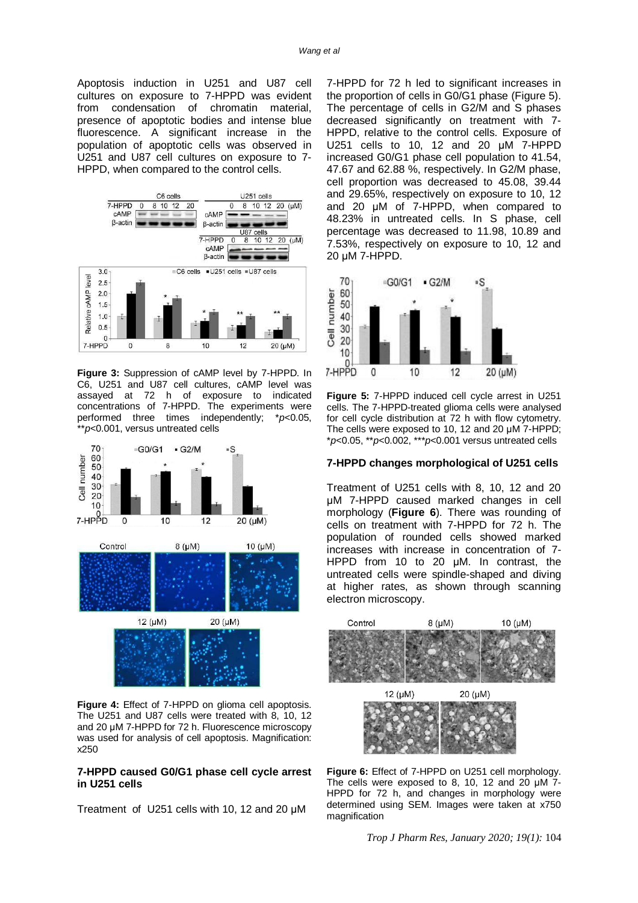Apoptosis induction in U251 and U87 cell cultures on exposure to 7-HPPD was evident from condensation of chromatin material, presence of apoptotic bodies and intense blue fluorescence. A significant increase in the population of apoptotic cells was observed in U251 and U87 cell cultures on exposure to 7- HPPD, when compared to the control cells.



**Figure 3:** Suppression of cAMP level by 7-HPPD. In C6, U251 and U87 cell cultures, cAMP level was assayed at 72 h of exposure to indicated concentrations of 7-HPPD. The experiments were performed three times independently; \**p*<0.05, \*\**p*<0.001, versus untreated cells



**Figure 4:** Effect of 7-HPPD on glioma cell apoptosis. The U251 and U87 cells were treated with 8, 10, 12 and 20 μM 7-HPPD for 72 h. Fluorescence microscopy was used for analysis of cell apoptosis. Magnification: x250

#### **7-HPPD caused G0/G1 phase cell cycle arrest in U251 cells**

Treatment of U251 cells with 10, 12 and 20 μM

7-HPPD for 72 h led to significant increases in the proportion of cells in G0/G1 phase (Figure 5). The percentage of cells in G2/M and S phases decreased significantly on treatment with 7- HPPD, relative to the control cells. Exposure of U251 cells to 10, 12 and 20 μM 7-HPPD increased G0/G1 phase cell population to 41.54, 47.67 and 62.88 %, respectively. In G2/M phase, cell proportion was decreased to 45.08, 39.44 and 29.65%, respectively on exposure to 10, 12 and 20 μM of 7-HPPD, when compared to 48.23% in untreated cells. In S phase, cell percentage was decreased to 11.98, 10.89 and 7.53%, respectively on exposure to 10, 12 and 20 μM 7-HPPD.



**Figure 5:** 7-HPPD induced cell cycle arrest in U251 cells. The 7-HPPD-treated glioma cells were analysed for cell cycle distribution at 72 h with flow cytometry. The cells were exposed to 10, 12 and 20 μM 7-HPPD; \**p*<0.05, \*\**p*<0.002, \*\*\**p*<0.001 versus untreated cells

#### **7-HPPD changes morphological of U251 cells**

Treatment of U251 cells with 8, 10, 12 and 20 μM 7-HPPD caused marked changes in cell morphology (**Figure 6**). There was rounding of cells on treatment with 7-HPPD for 72 h. The population of rounded cells showed marked increases with increase in concentration of 7- HPPD from 10 to 20 μM. In contrast, the untreated cells were spindle-shaped and diving at higher rates, as shown through scanning electron microscopy.



**Figure 6:** Effect of 7-HPPD on U251 cell morphology. The cells were exposed to 8, 10, 12 and 20 uM 7-HPPD for 72 h, and changes in morphology were determined using SEM. Images were taken at x750 magnification

*Trop J Pharm Res, January 2020; 19(1):* 104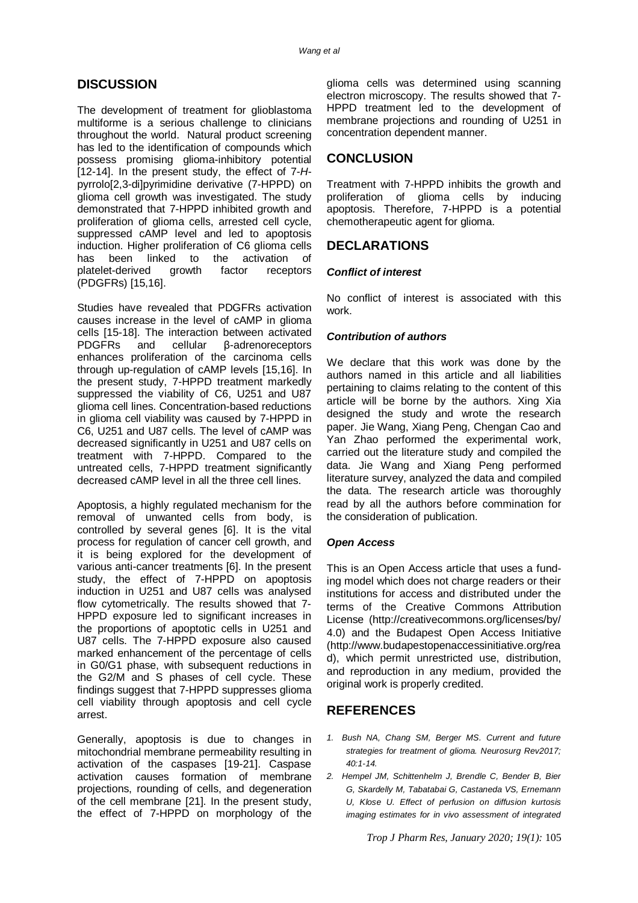# **DISCUSSION**

The development of treatment for glioblastoma multiforme is a serious challenge to clinicians throughout the world. Natural product screening has led to the identification of compounds which possess promising glioma-inhibitory potential [12-14]. In the present study, the effect of 7-*H*pyrrolo[2,3-di]pyrimidine derivative (7-HPPD) on glioma cell growth was investigated. The study demonstrated that 7-HPPD inhibited growth and proliferation of glioma cells, arrested cell cycle, suppressed cAMP level and led to apoptosis induction. Higher proliferation of C6 glioma cells has been linked to the activation of platelet-derived growth factor receptors (PDGFRs) [15,16].

Studies have revealed that PDGFRs activation causes increase in the level of cAMP in glioma cells [15-18]. The interaction between activated PDGFRs and cellular β-adrenoreceptors enhances proliferation of the carcinoma cells through up-regulation of cAMP levels [15,16]. In the present study, 7-HPPD treatment markedly suppressed the viability of C6, U251 and U87 glioma cell lines. Concentration-based reductions in glioma cell viability was caused by 7-HPPD in C6, U251 and U87 cells. The level of cAMP was decreased significantly in U251 and U87 cells on treatment with 7-HPPD. Compared to the untreated cells, 7-HPPD treatment significantly decreased cAMP level in all the three cell lines.

Apoptosis, a highly regulated mechanism for the removal of unwanted cells from body, is controlled by several genes [6]. It is the vital process for regulation of cancer cell growth, and it is being explored for the development of various anti-cancer treatments [6]. In the present study, the effect of 7-HPPD on apoptosis induction in U251 and U87 cells was analysed flow cytometrically. The results showed that 7- HPPD exposure led to significant increases in the proportions of apoptotic cells in U251 and U87 cells. The 7-HPPD exposure also caused marked enhancement of the percentage of cells in G0/G1 phase, with subsequent reductions in the G2/M and S phases of cell cycle. These findings suggest that 7-HPPD suppresses glioma cell viability through apoptosis and cell cycle arrest.

Generally, apoptosis is due to changes in mitochondrial membrane permeability resulting in activation of the caspases [19-21]. Caspase activation causes formation of membrane projections, rounding of cells, and degeneration of the cell membrane [21]. In the present study, the effect of 7-HPPD on morphology of the glioma cells was determined using scanning electron microscopy. The results showed that 7- HPPD treatment led to the development of membrane projections and rounding of U251 in concentration dependent manner.

# **CONCLUSION**

Treatment with 7-HPPD inhibits the growth and proliferation of glioma cells by inducing apoptosis. Therefore, 7-HPPD is a potential chemotherapeutic agent for glioma.

## **DECLARATIONS**

#### *Conflict of interest*

No conflict of interest is associated with this work.

#### *Contribution of authors*

We declare that this work was done by the authors named in this article and all liabilities pertaining to claims relating to the content of this article will be borne by the authors. Xing Xia designed the study and wrote the research paper. Jie Wang, Xiang Peng, Chengan Cao and Yan Zhao performed the experimental work, carried out the literature study and compiled the data. Jie Wang and Xiang Peng performed literature survey, analyzed the data and compiled the data. The research article was thoroughly read by all the authors before commination for the consideration of publication.

#### *Open Access*

This is an Open Access article that uses a funding model which does not charge readers or their institutions for access and distributed under the terms of the Creative Commons Attribution License (<http://creativecommons.org/licenses/by/> 4.0) and the Budapest Open Access Initiative [\(http://www.budapestopenaccessinitiative.org/rea](http://www.budapestopenaccessinitiative.org/rea) d), which permit unrestricted use, distribution, and reproduction in any medium, provided the original work is properly credited.

# **REFERENCES**

- *1. Bush NA, Chang SM, Berger MS. Current and future strategies for treatment of glioma. Neurosurg Rev2017; 40:1-14.*
- *2. Hempel JM, Schittenhelm J, Brendle C, Bender B, Bier G, Skardelly M, Tabatabai G, Castaneda VS, Ernemann U, Klose U. Effect of perfusion on diffusion kurtosis imaging estimates for in vivo assessment of integrated*

*Trop J Pharm Res, January 2020; 19(1):* 105